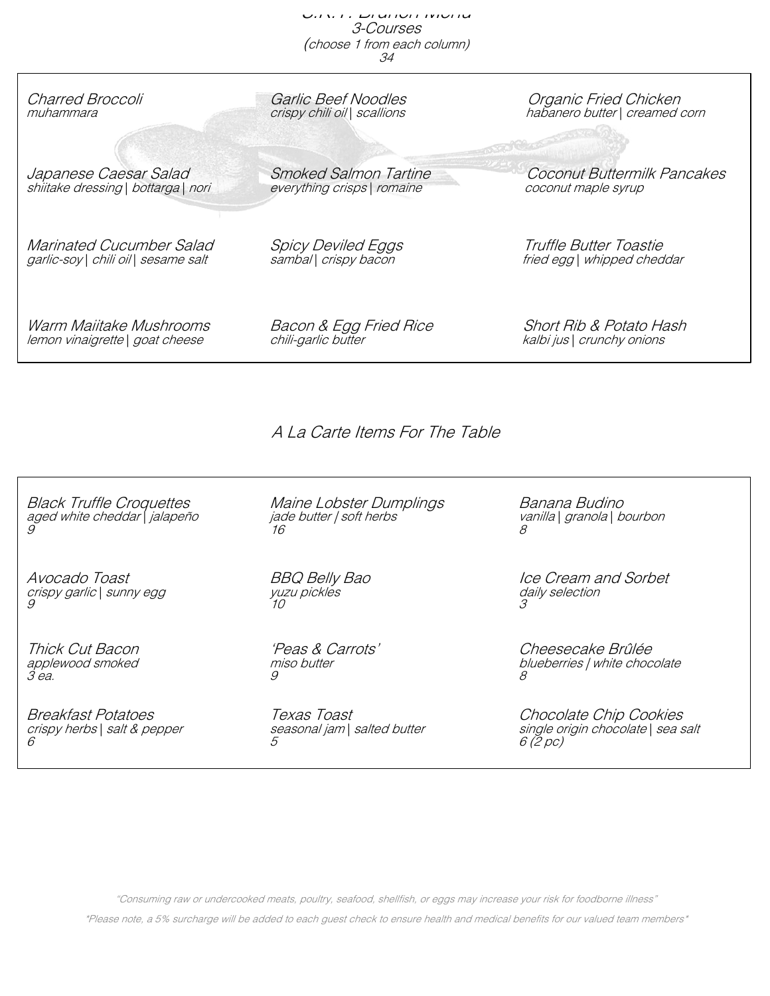s. *K. Brunch Menu* 3-Courses (choose 1 from each column) 34

| Charred Broccoli                     | Garlic Beef Noodles          | Organic Fried Chicken          |
|--------------------------------------|------------------------------|--------------------------------|
| muhammara                            | crispy chili oil   scallions | habanero butter   creamed corn |
| Japanese Caesar Salad                | <b>Smoked Salmon Tartine</b> | Coconut Buttermilk Pancakes    |
| shiitake dressing   bottarga   nori  | everything crisps   romaine  | coconut maple syrup            |
| Marinated Cucumber Salad             | <i>Spicy Deviled Eggs</i>    | Truffle Butter Toastie         |
| garlic-soy   chili oil   sesame salt | sambal   crispy bacon        | fried egg   whipped cheddar    |
| Warm Maiitake Mushrooms              | Bacon & Egg Fried Rice       | Short Rib & Potato Hash        |
| lemon vinaigrette   goat cheese      | chili-garlic butter          | kalbi jus   crunchy onions     |

A La Carte Items For The Table

Black Truffle Croquettes Maine Lobster Dumplings Banana Budino<br>aged white cheddar\jalapeño jade butter | soft herbs vanilla\ grano aged white cheddar | jalapeño jade butter | soft herbs vanilla | granola | bourbon 9 and 16  $\,$  16  $\,$  8  $\,$  8  $\,$  8  $\,$  8  $\,$  8  $\,$  8  $\,$  8  $\,$  8  $\,$  8  $\,$  8  $\,$  8  $\,$  8  $\,$  8  $\,$  8  $\,$  8  $\,$  8  $\,$  8  $\,$  8  $\,$  8  $\,$  8  $\,$  8  $\,$  8  $\,$  8  $\,$  8  $\,$  8  $\,$  8  $\,$  8  $\,$  8  $\,$  8

crispy garlic | sunny egg yuzu pickles da<br>9 3

 $3$  ea.  $8$ 

 $\delta$  6 (2 pc)

yuzu pickles<br>10

Avocado Toast BBQ Belly Bao Ice Cream and Sorbet

Thick Cut Bacon 'Peas & Carrots' Cheesecake Brûlée applewood smoked and miso butter misology is the blueberries | white chocolate and the state of the state of t<br>and the state of the state of the state of the state of the state of the state of the state of the state of th

Breakfast Potatoes Texas Toast Chocolate Chip Cookies crispy herbs | salt & pepper seasonal jam | salted butter single origin chocolate | sea salt<br>6 (2 pc)

"Consuming raw or undercooked meats, poultry, seafood, shellfish, or eggs may increase your risk for foodborne illness"

\*Please note, a 5% surcharge will be added to each guest check to ensure health and medical benefits for our valued team members\*